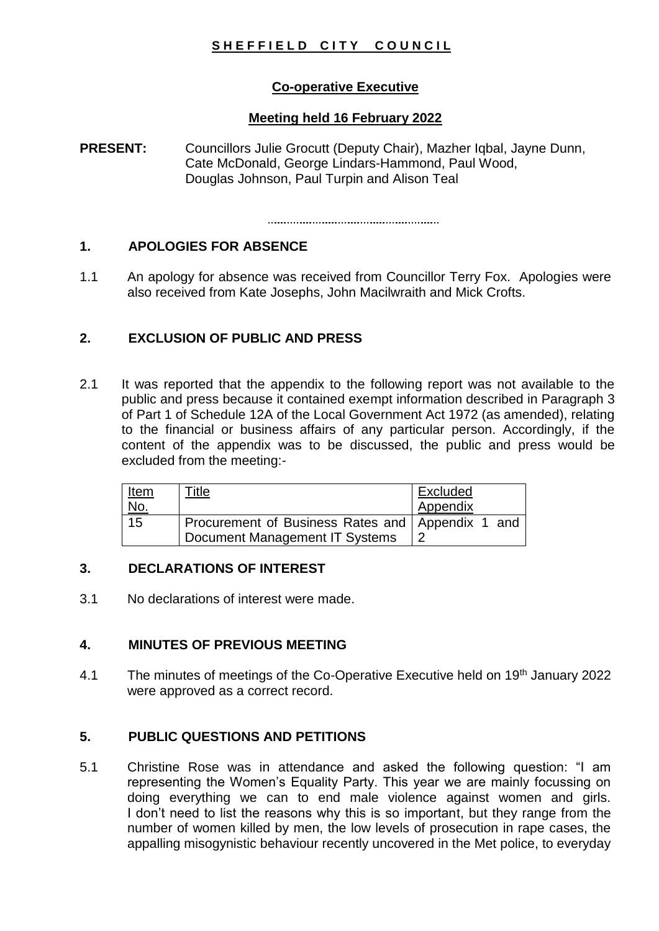# SHEFFIELD CITY COUNCIL

# **Co-operative Executive**

# **Meeting held 16 February 2022**

**PRESENT:** Councillors Julie Grocutt (Deputy Chair), Mazher Igbal, Jayne Dunn, Cate McDonald, George Lindars-Hammond, Paul Wood, Douglas Johnson, Paul Turpin and Alison Teal

### **1. APOLOGIES FOR ABSENCE**

1.1 An apology for absence was received from Councillor Terry Fox. Apologies were also received from Kate Josephs, John Macilwraith and Mick Crofts.

### **2. EXCLUSION OF PUBLIC AND PRESS**

2.1 It was reported that the appendix to the following report was not available to the public and press because it contained exempt information described in Paragraph 3 of Part 1 of Schedule 12A of the Local Government Act 1972 (as amended), relating to the financial or business affairs of any particular person. Accordingly, if the content of the appendix was to be discussed, the public and press would be excluded from the meeting:-

| <u>Item</u> | Title                                            | Excluded |
|-------------|--------------------------------------------------|----------|
| <u>No.</u>  |                                                  | Appendix |
| 15          | Procurement of Business Rates and Appendix 1 and |          |
|             | Document Management IT Systems                   |          |

# **3. DECLARATIONS OF INTEREST**

3.1 No declarations of interest were made.

# **4. MINUTES OF PREVIOUS MEETING**

4.1 The minutes of meetings of the Co-Operative Executive held on 19<sup>th</sup> January 2022 were approved as a correct record.

# **5. PUBLIC QUESTIONS AND PETITIONS**

5.1 Christine Rose was in attendance and asked the following question: "I am representing the Women's Equality Party. This year we are mainly focussing on doing everything we can to end male violence against women and girls. I don't need to list the reasons why this is so important, but they range from the number of women killed by men, the low levels of prosecution in rape cases, the appalling misogynistic behaviour recently uncovered in the Met police, to everyday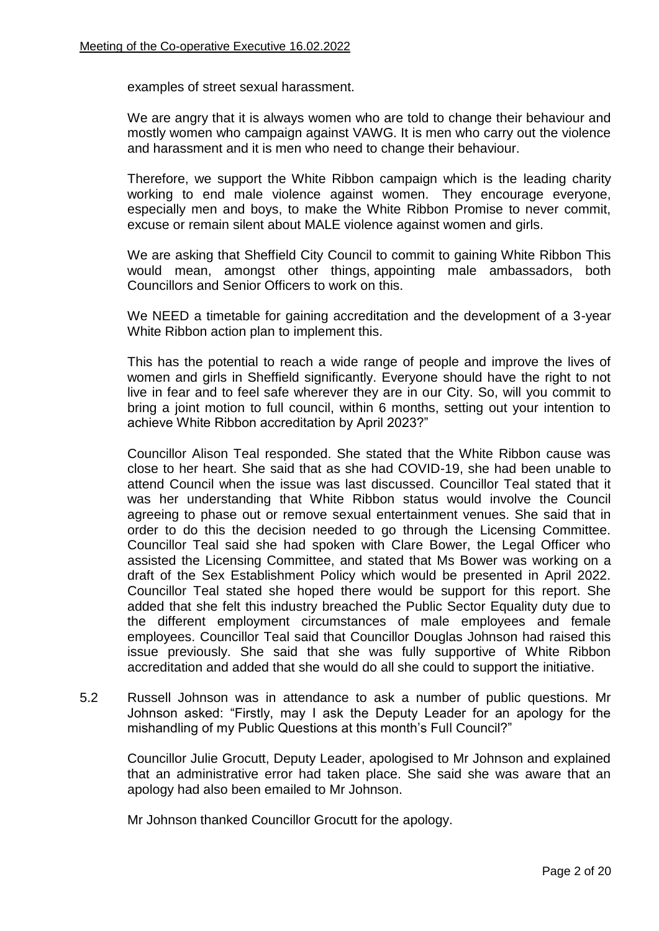examples of street sexual harassment.

We are angry that it is always women who are told to change their behaviour and mostly women who campaign against VAWG. It is men who carry out the violence and harassment and it is men who need to change their behaviour.

Therefore, we support the White Ribbon campaign which is the leading charity working to end male violence against women. They encourage everyone, especially men and boys, to make the White Ribbon Promise to never commit, excuse or remain silent about MALE violence against women and girls.

We are asking that Sheffield City Council to commit to gaining White Ribbon This would mean, amongst other things, appointing male ambassadors, both Councillors and Senior Officers to work on this.

We NEED a timetable for gaining accreditation and the development of a 3-year White Ribbon action plan to implement this.

This has the potential to reach a wide range of people and improve the lives of women and girls in Sheffield significantly. Everyone should have the right to not live in fear and to feel safe wherever they are in our City. So, will you commit to bring a joint motion to full council, within 6 months, setting out your intention to achieve White Ribbon accreditation by April 2023?"

Councillor Alison Teal responded. She stated that the White Ribbon cause was close to her heart. She said that as she had COVID-19, she had been unable to attend Council when the issue was last discussed. Councillor Teal stated that it was her understanding that White Ribbon status would involve the Council agreeing to phase out or remove sexual entertainment venues. She said that in order to do this the decision needed to go through the Licensing Committee. Councillor Teal said she had spoken with Clare Bower, the Legal Officer who assisted the Licensing Committee, and stated that Ms Bower was working on a draft of the Sex Establishment Policy which would be presented in April 2022. Councillor Teal stated she hoped there would be support for this report. She added that she felt this industry breached the Public Sector Equality duty due to the different employment circumstances of male employees and female employees. Councillor Teal said that Councillor Douglas Johnson had raised this issue previously. She said that she was fully supportive of White Ribbon accreditation and added that she would do all she could to support the initiative.

5.2 Russell Johnson was in attendance to ask a number of public questions. Mr Johnson asked: "Firstly, may I ask the Deputy Leader for an apology for the mishandling of my Public Questions at this month's Full Council?"

Councillor Julie Grocutt, Deputy Leader, apologised to Mr Johnson and explained that an administrative error had taken place. She said she was aware that an apology had also been emailed to Mr Johnson.

Mr Johnson thanked Councillor Grocutt for the apology.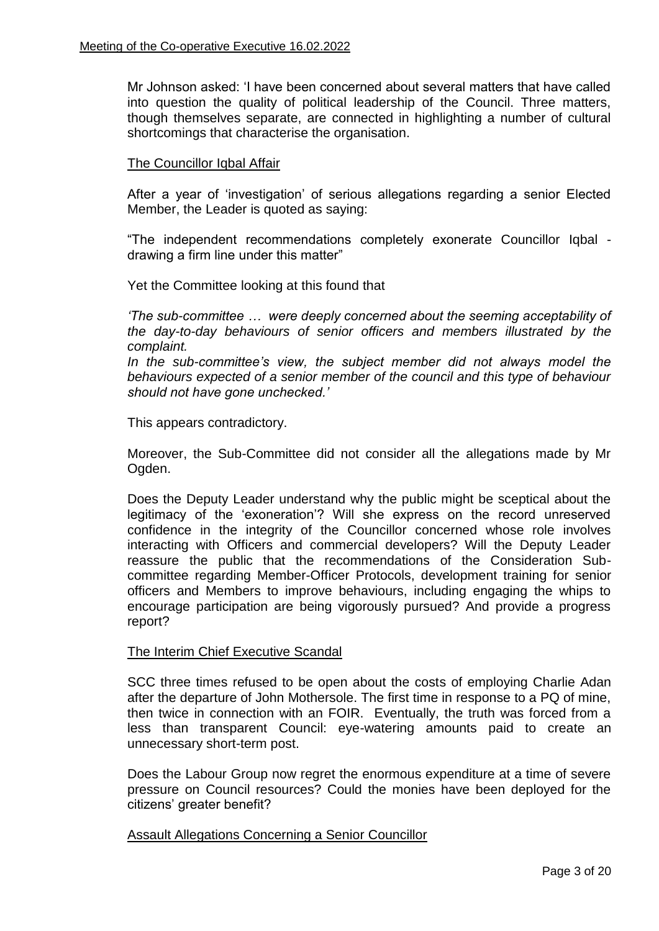Mr Johnson asked: 'I have been concerned about several matters that have called into question the quality of political leadership of the Council. Three matters, though themselves separate, are connected in highlighting a number of cultural shortcomings that characterise the organisation.

### The Councillor Iqbal Affair

After a year of 'investigation' of serious allegations regarding a senior Elected Member, the Leader is quoted as saying:

"The independent recommendations completely exonerate Councillor Iqbal drawing a firm line under this matter"

Yet the Committee looking at this found that

*'The sub-committee … were deeply concerned about the seeming acceptability of the day-to-day behaviours of senior officers and members illustrated by the complaint.*

In the sub-committee's view, the subject member did not always model the *behaviours expected of a senior member of the council and this type of behaviour should not have gone unchecked.'*

This appears contradictory.

Moreover, the Sub-Committee did not consider all the allegations made by Mr Ogden.

Does the Deputy Leader understand why the public might be sceptical about the legitimacy of the 'exoneration'? Will she express on the record unreserved confidence in the integrity of the Councillor concerned whose role involves interacting with Officers and commercial developers? Will the Deputy Leader reassure the public that the recommendations of the Consideration Subcommittee regarding Member-Officer Protocols, development training for senior officers and Members to improve behaviours, including engaging the whips to encourage participation are being vigorously pursued? And provide a progress report?

### The Interim Chief Executive Scandal

SCC three times refused to be open about the costs of employing Charlie Adan after the departure of John Mothersole. The first time in response to a PQ of mine, then twice in connection with an FOIR. Eventually, the truth was forced from a less than transparent Council: eye-watering amounts paid to create an unnecessary short-term post.

Does the Labour Group now regret the enormous expenditure at a time of severe pressure on Council resources? Could the monies have been deployed for the citizens' greater benefit?

Assault Allegations Concerning a Senior Councillor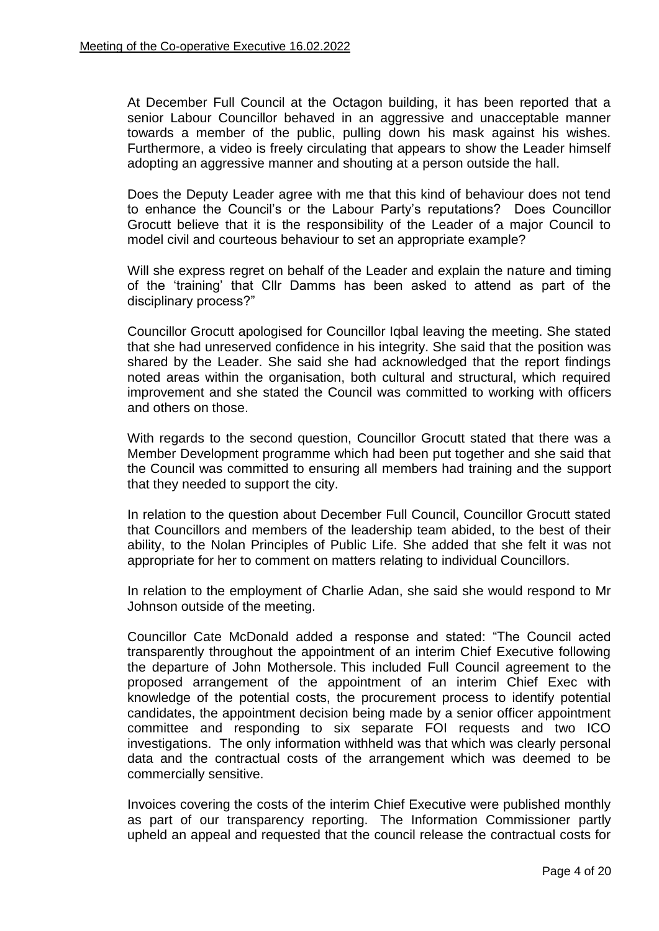At December Full Council at the Octagon building, it has been reported that a senior Labour Councillor behaved in an aggressive and unacceptable manner towards a member of the public, pulling down his mask against his wishes. Furthermore, a video is freely circulating that appears to show the Leader himself adopting an aggressive manner and shouting at a person outside the hall.

Does the Deputy Leader agree with me that this kind of behaviour does not tend to enhance the Council's or the Labour Party's reputations? Does Councillor Grocutt believe that it is the responsibility of the Leader of a major Council to model civil and courteous behaviour to set an appropriate example?

Will she express regret on behalf of the Leader and explain the nature and timing of the 'training' that Cllr Damms has been asked to attend as part of the disciplinary process?"

Councillor Grocutt apologised for Councillor Iqbal leaving the meeting. She stated that she had unreserved confidence in his integrity. She said that the position was shared by the Leader. She said she had acknowledged that the report findings noted areas within the organisation, both cultural and structural, which required improvement and she stated the Council was committed to working with officers and others on those.

With regards to the second question, Councillor Grocutt stated that there was a Member Development programme which had been put together and she said that the Council was committed to ensuring all members had training and the support that they needed to support the city.

In relation to the question about December Full Council, Councillor Grocutt stated that Councillors and members of the leadership team abided, to the best of their ability, to the Nolan Principles of Public Life. She added that she felt it was not appropriate for her to comment on matters relating to individual Councillors.

In relation to the employment of Charlie Adan, she said she would respond to Mr Johnson outside of the meeting.

Councillor Cate McDonald added a response and stated: "The Council acted transparently throughout the appointment of an interim Chief Executive following the departure of John Mothersole. This included Full Council agreement to the proposed arrangement of the appointment of an interim Chief Exec with knowledge of the potential costs, the procurement process to identify potential candidates, the appointment decision being made by a senior officer appointment committee and responding to six separate FOI requests and two ICO investigations. The only information withheld was that which was clearly personal data and the contractual costs of the arrangement which was deemed to be commercially sensitive.

Invoices covering the costs of the interim Chief Executive were published monthly as part of our transparency reporting. The Information Commissioner partly upheld an appeal and requested that the council release the contractual costs for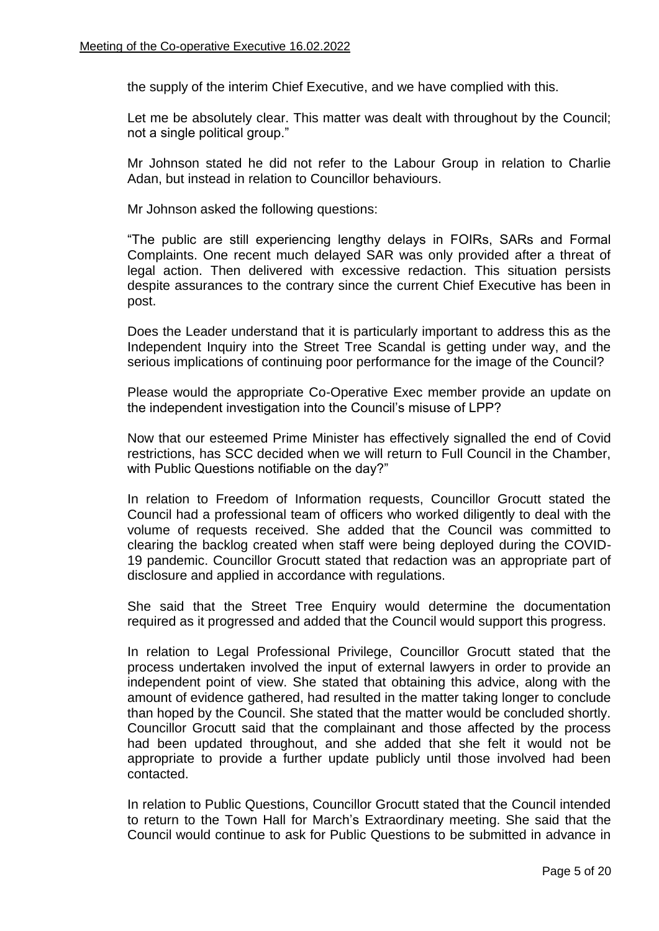the supply of the interim Chief Executive, and we have complied with this.

Let me be absolutely clear. This matter was dealt with throughout by the Council; not a single political group."

Mr Johnson stated he did not refer to the Labour Group in relation to Charlie Adan, but instead in relation to Councillor behaviours.

Mr Johnson asked the following questions:

"The public are still experiencing lengthy delays in FOIRs, SARs and Formal Complaints. One recent much delayed SAR was only provided after a threat of legal action. Then delivered with excessive redaction. This situation persists despite assurances to the contrary since the current Chief Executive has been in post.

Does the Leader understand that it is particularly important to address this as the Independent Inquiry into the Street Tree Scandal is getting under way, and the serious implications of continuing poor performance for the image of the Council?

Please would the appropriate Co-Operative Exec member provide an update on the independent investigation into the Council's misuse of LPP?

Now that our esteemed Prime Minister has effectively signalled the end of Covid restrictions, has SCC decided when we will return to Full Council in the Chamber, with Public Questions notifiable on the day?"

In relation to Freedom of Information requests, Councillor Grocutt stated the Council had a professional team of officers who worked diligently to deal with the volume of requests received. She added that the Council was committed to clearing the backlog created when staff were being deployed during the COVID-19 pandemic. Councillor Grocutt stated that redaction was an appropriate part of disclosure and applied in accordance with regulations.

She said that the Street Tree Enquiry would determine the documentation required as it progressed and added that the Council would support this progress.

In relation to Legal Professional Privilege, Councillor Grocutt stated that the process undertaken involved the input of external lawyers in order to provide an independent point of view. She stated that obtaining this advice, along with the amount of evidence gathered, had resulted in the matter taking longer to conclude than hoped by the Council. She stated that the matter would be concluded shortly. Councillor Grocutt said that the complainant and those affected by the process had been updated throughout, and she added that she felt it would not be appropriate to provide a further update publicly until those involved had been contacted.

In relation to Public Questions, Councillor Grocutt stated that the Council intended to return to the Town Hall for March's Extraordinary meeting. She said that the Council would continue to ask for Public Questions to be submitted in advance in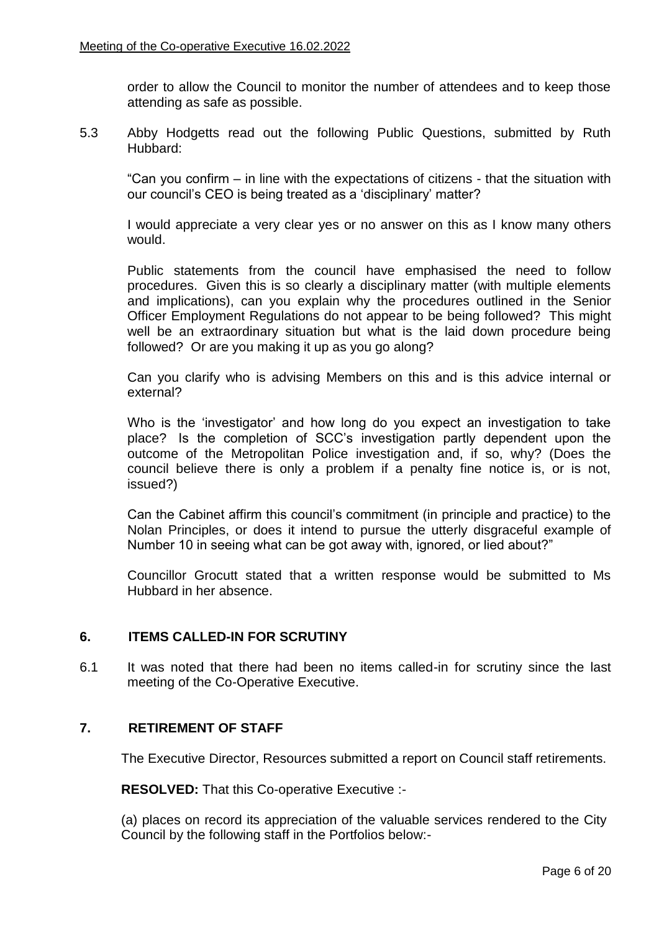order to allow the Council to monitor the number of attendees and to keep those attending as safe as possible.

5.3 Abby Hodgetts read out the following Public Questions, submitted by Ruth Hubbard:

"Can you confirm – in line with the expectations of citizens - that the situation with our council's CEO is being treated as a 'disciplinary' matter?

I would appreciate a very clear yes or no answer on this as I know many others would.

Public statements from the council have emphasised the need to follow procedures. Given this is so clearly a disciplinary matter (with multiple elements and implications), can you explain why the procedures outlined in the Senior Officer Employment Regulations do not appear to be being followed? This might well be an extraordinary situation but what is the laid down procedure being followed? Or are you making it up as you go along?

Can you clarify who is advising Members on this and is this advice internal or external?

Who is the 'investigator' and how long do you expect an investigation to take place? Is the completion of SCC's investigation partly dependent upon the outcome of the Metropolitan Police investigation and, if so, why? (Does the council believe there is only a problem if a penalty fine notice is, or is not, issued?)

Can the Cabinet affirm this council's commitment (in principle and practice) to the Nolan Principles, or does it intend to pursue the utterly disgraceful example of Number 10 in seeing what can be got away with, ignored, or lied about?"

Councillor Grocutt stated that a written response would be submitted to Ms Hubbard in her absence.

# **6. ITEMS CALLED-IN FOR SCRUTINY**

6.1 It was noted that there had been no items called-in for scrutiny since the last meeting of the Co-Operative Executive.

# **7. RETIREMENT OF STAFF**

The Executive Director, Resources submitted a report on Council staff retirements.

**RESOLVED:** That this Co-operative Executive :-

(a) places on record its appreciation of the valuable services rendered to the City Council by the following staff in the Portfolios below:-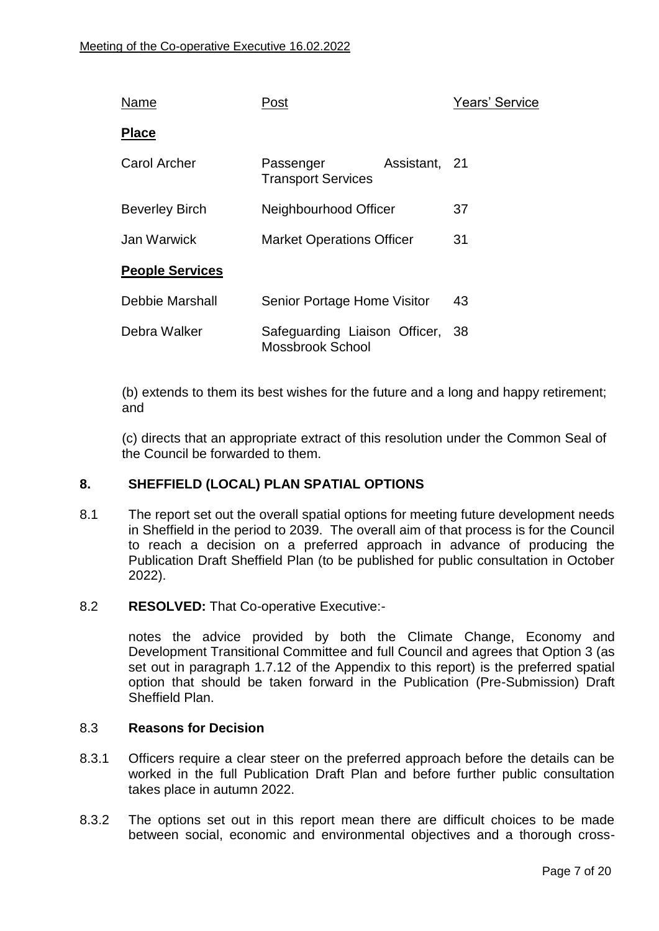| Name                   | Post                                              |               | <b>Years' Service</b> |
|------------------------|---------------------------------------------------|---------------|-----------------------|
| <b>Place</b>           |                                                   |               |                       |
| Carol Archer           | Passenger<br><b>Transport Services</b>            | Assistant, 21 |                       |
| <b>Beverley Birch</b>  | Neighbourhood Officer                             |               | 37                    |
| Jan Warwick            | <b>Market Operations Officer</b>                  |               | 31                    |
| <b>People Services</b> |                                                   |               |                       |
| Debbie Marshall        | Senior Portage Home Visitor                       |               | 43                    |
| Debra Walker           | Safeguarding Liaison Officer,<br>Mossbrook School |               | - 38                  |

(b) extends to them its best wishes for the future and a long and happy retirement; and

(c) directs that an appropriate extract of this resolution under the Common Seal of the Council be forwarded to them.

# **8. SHEFFIELD (LOCAL) PLAN SPATIAL OPTIONS**

8.1 The report set out the overall spatial options for meeting future development needs in Sheffield in the period to 2039. The overall aim of that process is for the Council to reach a decision on a preferred approach in advance of producing the Publication Draft Sheffield Plan (to be published for public consultation in October 2022).

# 8.2 **RESOLVED:** That Co-operative Executive:-

notes the advice provided by both the Climate Change, Economy and Development Transitional Committee and full Council and agrees that Option 3 (as set out in paragraph 1.7.12 of the Appendix to this report) is the preferred spatial option that should be taken forward in the Publication (Pre-Submission) Draft Sheffield Plan.

### 8.3 **Reasons for Decision**

- 8.3.1 Officers require a clear steer on the preferred approach before the details can be worked in the full Publication Draft Plan and before further public consultation takes place in autumn 2022.
- 8.3.2 The options set out in this report mean there are difficult choices to be made between social, economic and environmental objectives and a thorough cross-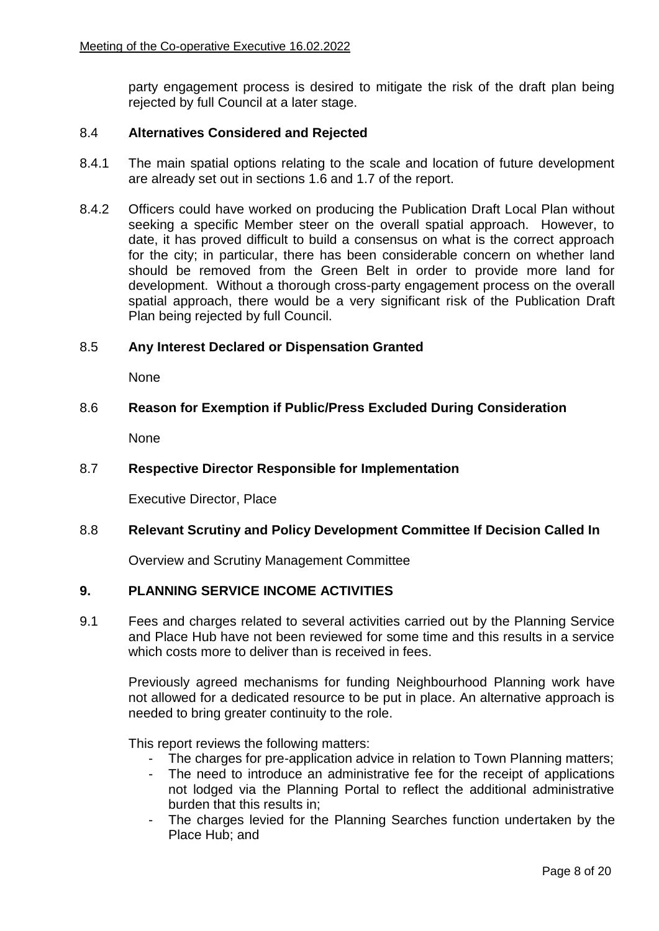party engagement process is desired to mitigate the risk of the draft plan being rejected by full Council at a later stage.

### 8.4 **Alternatives Considered and Rejected**

- 8.4.1 The main spatial options relating to the scale and location of future development are already set out in sections 1.6 and 1.7 of the report.
- 8.4.2 Officers could have worked on producing the Publication Draft Local Plan without seeking a specific Member steer on the overall spatial approach. However, to date, it has proved difficult to build a consensus on what is the correct approach for the city; in particular, there has been considerable concern on whether land should be removed from the Green Belt in order to provide more land for development. Without a thorough cross-party engagement process on the overall spatial approach, there would be a very significant risk of the Publication Draft Plan being rejected by full Council.

### 8.5 **Any Interest Declared or Dispensation Granted**

None

### 8.6 **Reason for Exemption if Public/Press Excluded During Consideration**

**None** 

### 8.7 **Respective Director Responsible for Implementation**

Executive Director, Place

### 8.8 **Relevant Scrutiny and Policy Development Committee If Decision Called In**

Overview and Scrutiny Management Committee

# **9. PLANNING SERVICE INCOME ACTIVITIES**

9.1 Fees and charges related to several activities carried out by the Planning Service and Place Hub have not been reviewed for some time and this results in a service which costs more to deliver than is received in fees.

Previously agreed mechanisms for funding Neighbourhood Planning work have not allowed for a dedicated resource to be put in place. An alternative approach is needed to bring greater continuity to the role.

This report reviews the following matters:

- The charges for pre-application advice in relation to Town Planning matters;
- The need to introduce an administrative fee for the receipt of applications not lodged via the Planning Portal to reflect the additional administrative burden that this results in;
- The charges levied for the Planning Searches function undertaken by the Place Hub; and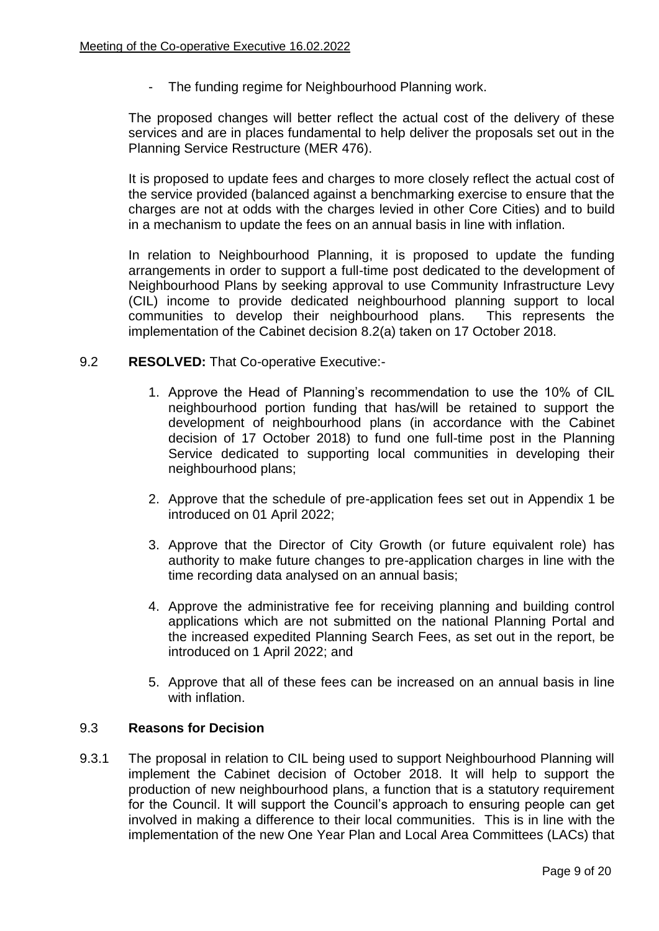- The funding regime for Neighbourhood Planning work.

The proposed changes will better reflect the actual cost of the delivery of these services and are in places fundamental to help deliver the proposals set out in the Planning Service Restructure (MER 476).

It is proposed to update fees and charges to more closely reflect the actual cost of the service provided (balanced against a benchmarking exercise to ensure that the charges are not at odds with the charges levied in other Core Cities) and to build in a mechanism to update the fees on an annual basis in line with inflation.

In relation to Neighbourhood Planning, it is proposed to update the funding arrangements in order to support a full-time post dedicated to the development of Neighbourhood Plans by seeking approval to use Community Infrastructure Levy (CIL) income to provide dedicated neighbourhood planning support to local communities to develop their neighbourhood plans. This represents the implementation of the Cabinet decision 8.2(a) taken on 17 October 2018.

### 9.2 **RESOLVED:** That Co-operative Executive:-

- 1. Approve the Head of Planning's recommendation to use the 10% of CIL neighbourhood portion funding that has/will be retained to support the development of neighbourhood plans (in accordance with the Cabinet decision of 17 October 2018) to fund one full-time post in the Planning Service dedicated to supporting local communities in developing their neighbourhood plans;
- 2. Approve that the schedule of pre-application fees set out in Appendix 1 be introduced on 01 April 2022;
- 3. Approve that the Director of City Growth (or future equivalent role) has authority to make future changes to pre-application charges in line with the time recording data analysed on an annual basis;
- 4. Approve the administrative fee for receiving planning and building control applications which are not submitted on the national Planning Portal and the increased expedited Planning Search Fees, as set out in the report, be introduced on 1 April 2022; and
- 5. Approve that all of these fees can be increased on an annual basis in line with inflation.

### 9.3 **Reasons for Decision**

9.3.1 The proposal in relation to CIL being used to support Neighbourhood Planning will implement the Cabinet decision of October 2018. It will help to support the production of new neighbourhood plans, a function that is a statutory requirement for the Council. It will support the Council's approach to ensuring people can get involved in making a difference to their local communities. This is in line with the implementation of the new One Year Plan and Local Area Committees (LACs) that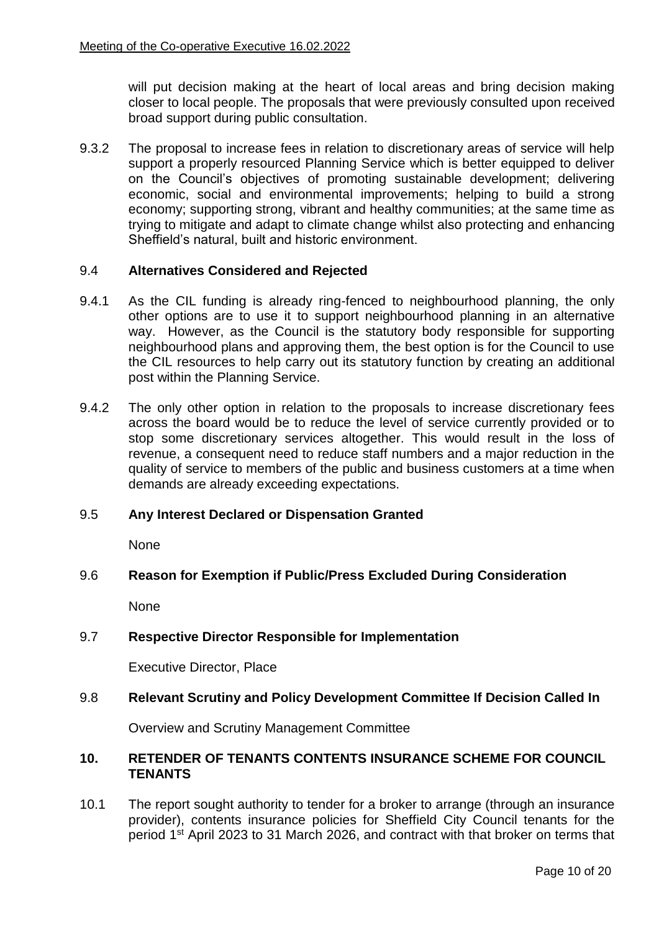will put decision making at the heart of local areas and bring decision making closer to local people. The proposals that were previously consulted upon received broad support during public consultation.

9.3.2 The proposal to increase fees in relation to discretionary areas of service will help support a properly resourced Planning Service which is better equipped to deliver on the Council's objectives of promoting sustainable development; delivering economic, social and environmental improvements; helping to build a strong economy; supporting strong, vibrant and healthy communities; at the same time as trying to mitigate and adapt to climate change whilst also protecting and enhancing Sheffield's natural, built and historic environment.

### 9.4 **Alternatives Considered and Rejected**

- 9.4.1 As the CIL funding is already ring-fenced to neighbourhood planning, the only other options are to use it to support neighbourhood planning in an alternative way. However, as the Council is the statutory body responsible for supporting neighbourhood plans and approving them, the best option is for the Council to use the CIL resources to help carry out its statutory function by creating an additional post within the Planning Service.
- 9.4.2 The only other option in relation to the proposals to increase discretionary fees across the board would be to reduce the level of service currently provided or to stop some discretionary services altogether. This would result in the loss of revenue, a consequent need to reduce staff numbers and a major reduction in the quality of service to members of the public and business customers at a time when demands are already exceeding expectations.

### 9.5 **Any Interest Declared or Dispensation Granted**

None

# 9.6 **Reason for Exemption if Public/Press Excluded During Consideration**

None

### 9.7 **Respective Director Responsible for Implementation**

Executive Director, Place

### 9.8 **Relevant Scrutiny and Policy Development Committee If Decision Called In**

Overview and Scrutiny Management Committee

### **10. RETENDER OF TENANTS CONTENTS INSURANCE SCHEME FOR COUNCIL TENANTS**

10.1 The report sought authority to tender for a broker to arrange (through an insurance provider), contents insurance policies for Sheffield City Council tenants for the period 1st April 2023 to 31 March 2026, and contract with that broker on terms that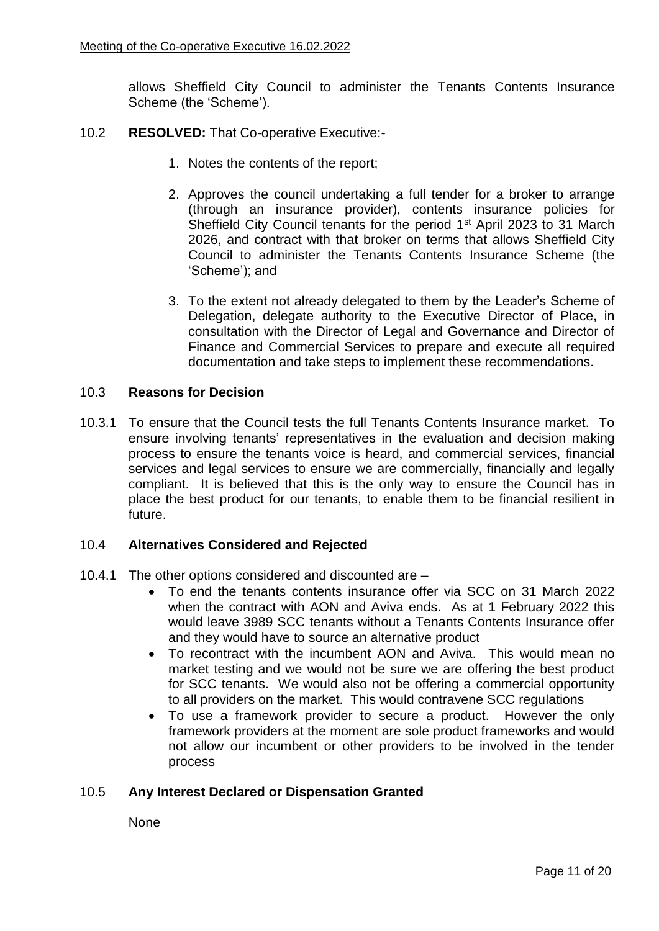allows Sheffield City Council to administer the Tenants Contents Insurance Scheme (the 'Scheme').

- 10.2 **RESOLVED:** That Co-operative Executive:-
	- 1. Notes the contents of the report;
	- 2. Approves the council undertaking a full tender for a broker to arrange (through an insurance provider), contents insurance policies for Sheffield City Council tenants for the period 1<sup>st</sup> April 2023 to 31 March 2026, and contract with that broker on terms that allows Sheffield City Council to administer the Tenants Contents Insurance Scheme (the 'Scheme'); and
	- 3. To the extent not already delegated to them by the Leader's Scheme of Delegation, delegate authority to the Executive Director of Place, in consultation with the Director of Legal and Governance and Director of Finance and Commercial Services to prepare and execute all required documentation and take steps to implement these recommendations.

### 10.3 **Reasons for Decision**

10.3.1 To ensure that the Council tests the full Tenants Contents Insurance market. To ensure involving tenants' representatives in the evaluation and decision making process to ensure the tenants voice is heard, and commercial services, financial services and legal services to ensure we are commercially, financially and legally compliant. It is believed that this is the only way to ensure the Council has in place the best product for our tenants, to enable them to be financial resilient in future.

### 10.4 **Alternatives Considered and Rejected**

- 10.4.1 The other options considered and discounted are
	- To end the tenants contents insurance offer via SCC on 31 March 2022 when the contract with AON and Aviva ends. As at 1 February 2022 this would leave 3989 SCC tenants without a Tenants Contents Insurance offer and they would have to source an alternative product
	- To recontract with the incumbent AON and Aviva. This would mean no market testing and we would not be sure we are offering the best product for SCC tenants. We would also not be offering a commercial opportunity to all providers on the market. This would contravene SCC regulations
	- To use a framework provider to secure a product. However the only framework providers at the moment are sole product frameworks and would not allow our incumbent or other providers to be involved in the tender process

# 10.5 **Any Interest Declared or Dispensation Granted**

None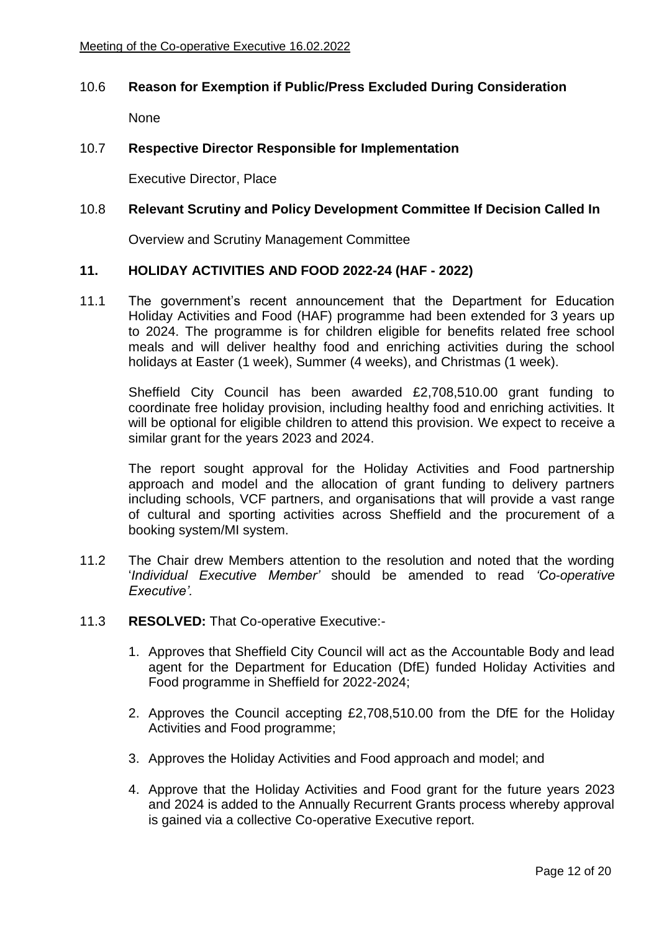### 10.6 **Reason for Exemption if Public/Press Excluded During Consideration**

None

# 10.7 **Respective Director Responsible for Implementation**

Executive Director, Place

### 10.8 **Relevant Scrutiny and Policy Development Committee If Decision Called In**

Overview and Scrutiny Management Committee

### **11. HOLIDAY ACTIVITIES AND FOOD 2022-24 (HAF - 2022)**

11.1 The government's recent announcement that the Department for Education Holiday Activities and Food (HAF) programme had been extended for 3 years up to 2024. The programme is for children eligible for benefits related free school meals and will deliver healthy food and enriching activities during the school holidays at Easter (1 week), Summer (4 weeks), and Christmas (1 week).

Sheffield City Council has been awarded £2,708,510.00 grant funding to coordinate free holiday provision, including healthy food and enriching activities. It will be optional for eligible children to attend this provision. We expect to receive a similar grant for the years 2023 and 2024.

The report sought approval for the Holiday Activities and Food partnership approach and model and the allocation of grant funding to delivery partners including schools, VCF partners, and organisations that will provide a vast range of cultural and sporting activities across Sheffield and the procurement of a booking system/MI system.

- 11.2 The Chair drew Members attention to the resolution and noted that the wording '*Individual Executive Member'* should be amended to read *'Co-operative Executive'.*
- 11.3 **RESOLVED:** That Co-operative Executive:-
	- 1. Approves that Sheffield City Council will act as the Accountable Body and lead agent for the Department for Education (DfE) funded Holiday Activities and Food programme in Sheffield for 2022-2024;
	- 2. Approves the Council accepting £2,708,510.00 from the DfE for the Holiday Activities and Food programme;
	- 3. Approves the Holiday Activities and Food approach and model; and
	- 4. Approve that the Holiday Activities and Food grant for the future years 2023 and 2024 is added to the Annually Recurrent Grants process whereby approval is gained via a collective Co-operative Executive report.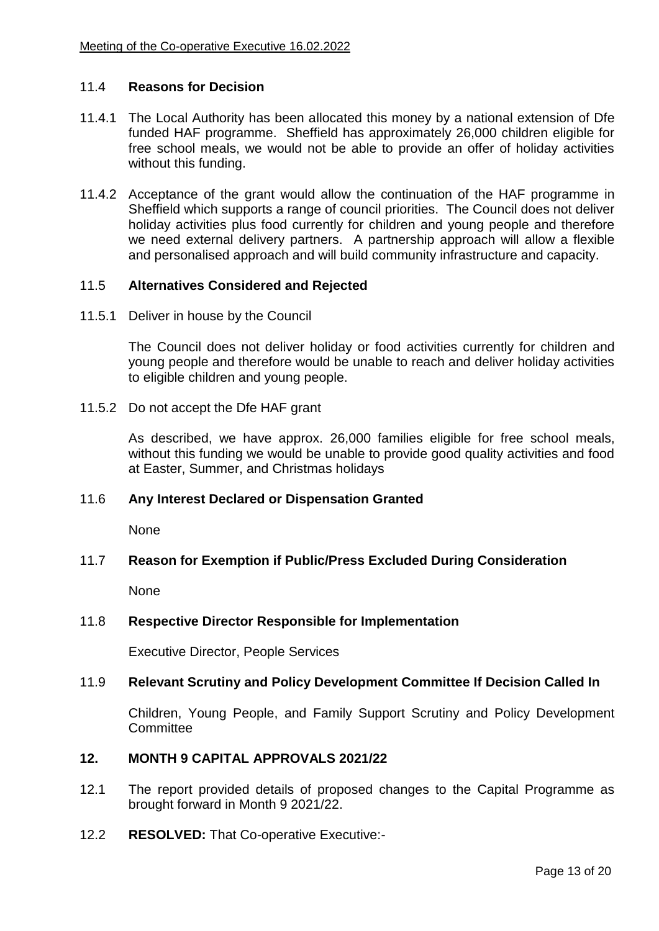### 11.4 **Reasons for Decision**

- 11.4.1 The Local Authority has been allocated this money by a national extension of Dfe funded HAF programme. Sheffield has approximately 26,000 children eligible for free school meals, we would not be able to provide an offer of holiday activities without this funding.
- 11.4.2 Acceptance of the grant would allow the continuation of the HAF programme in Sheffield which supports a range of council priorities. The Council does not deliver holiday activities plus food currently for children and young people and therefore we need external delivery partners. A partnership approach will allow a flexible and personalised approach and will build community infrastructure and capacity.

### 11.5 **Alternatives Considered and Rejected**

11.5.1 Deliver in house by the Council

The Council does not deliver holiday or food activities currently for children and young people and therefore would be unable to reach and deliver holiday activities to eligible children and young people.

11.5.2 Do not accept the Dfe HAF grant

As described, we have approx. 26,000 families eligible for free school meals, without this funding we would be unable to provide good quality activities and food at Easter, Summer, and Christmas holidays

### 11.6 **Any Interest Declared or Dispensation Granted**

None

### 11.7 **Reason for Exemption if Public/Press Excluded During Consideration**

None

### 11.8 **Respective Director Responsible for Implementation**

Executive Director, People Services

### 11.9 **Relevant Scrutiny and Policy Development Committee If Decision Called In**

Children, Young People, and Family Support Scrutiny and Policy Development **Committee** 

# **12. MONTH 9 CAPITAL APPROVALS 2021/22**

- 12.1 The report provided details of proposed changes to the Capital Programme as brought forward in Month 9 2021/22.
- 12.2 **RESOLVED:** That Co-operative Executive:-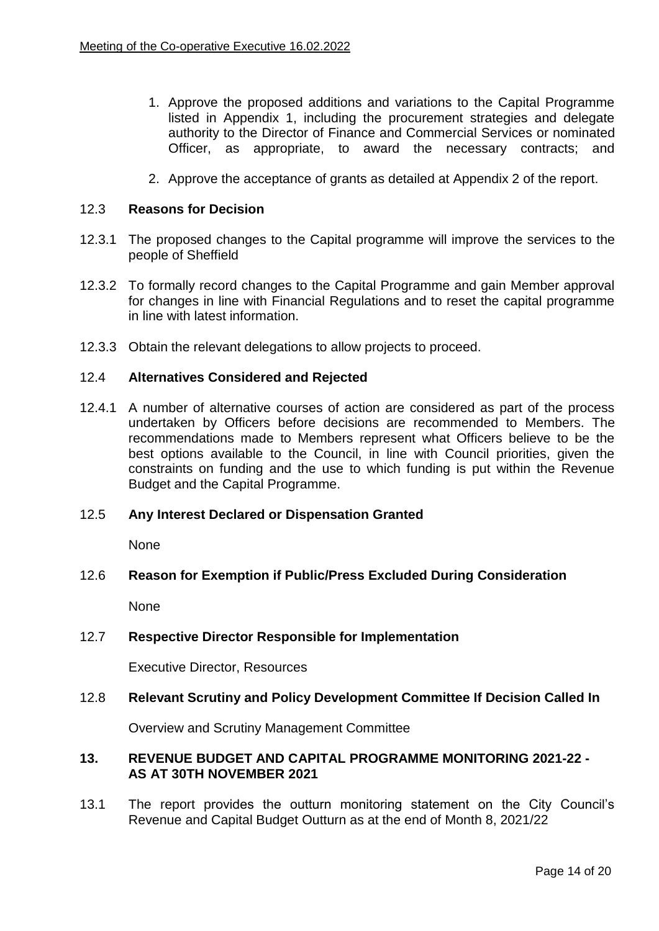- 1. Approve the proposed additions and variations to the Capital Programme listed in Appendix 1, including the procurement strategies and delegate authority to the Director of Finance and Commercial Services or nominated Officer, as appropriate, to award the necessary contracts; and
- 2. Approve the acceptance of grants as detailed at Appendix 2 of the report.

### 12.3 **Reasons for Decision**

- 12.3.1 The proposed changes to the Capital programme will improve the services to the people of Sheffield
- 12.3.2 To formally record changes to the Capital Programme and gain Member approval for changes in line with Financial Regulations and to reset the capital programme in line with latest information.
- 12.3.3 Obtain the relevant delegations to allow projects to proceed.

### 12.4 **Alternatives Considered and Rejected**

12.4.1 A number of alternative courses of action are considered as part of the process undertaken by Officers before decisions are recommended to Members. The recommendations made to Members represent what Officers believe to be the best options available to the Council, in line with Council priorities, given the constraints on funding and the use to which funding is put within the Revenue Budget and the Capital Programme.

#### 12.5 **Any Interest Declared or Dispensation Granted**

None

### 12.6 **Reason for Exemption if Public/Press Excluded During Consideration**

None

### 12.7 **Respective Director Responsible for Implementation**

Executive Director, Resources

### 12.8 **Relevant Scrutiny and Policy Development Committee If Decision Called In**

Overview and Scrutiny Management Committee

### **13. REVENUE BUDGET AND CAPITAL PROGRAMME MONITORING 2021-22 - AS AT 30TH NOVEMBER 2021**

13.1 The report provides the outturn monitoring statement on the City Council's Revenue and Capital Budget Outturn as at the end of Month 8, 2021/22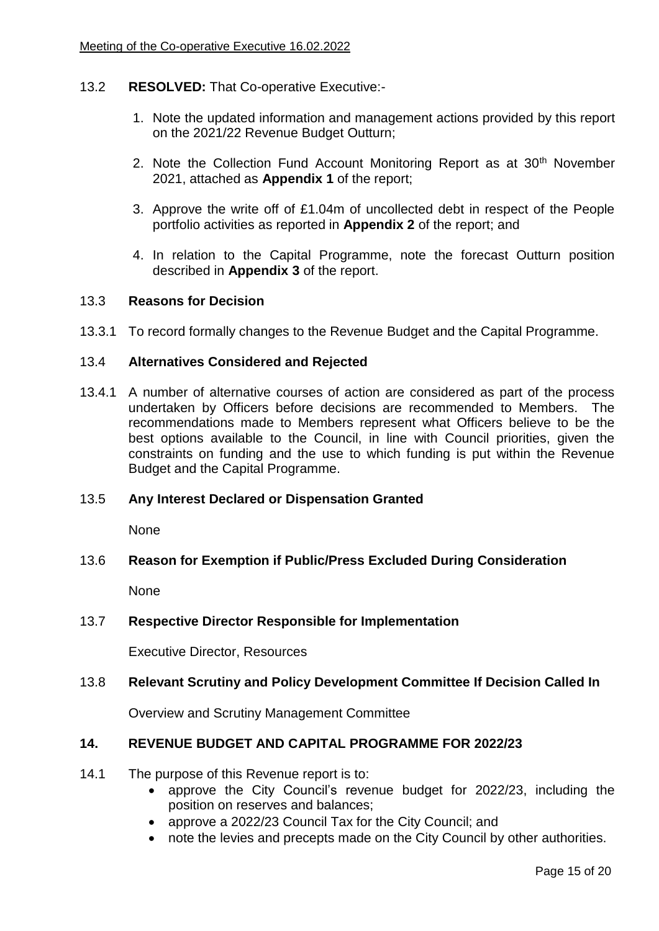### 13.2 **RESOLVED:** That Co-operative Executive:-

- 1. Note the updated information and management actions provided by this report on the 2021/22 Revenue Budget Outturn;
- 2. Note the Collection Fund Account Monitoring Report as at 30<sup>th</sup> November 2021, attached as **Appendix 1** of the report;
- 3. Approve the write off of £1.04m of uncollected debt in respect of the People portfolio activities as reported in **Appendix 2** of the report; and
- 4. In relation to the Capital Programme, note the forecast Outturn position described in **Appendix 3** of the report.

### 13.3 **Reasons for Decision**

13.3.1 To record formally changes to the Revenue Budget and the Capital Programme.

### 13.4 **Alternatives Considered and Rejected**

13.4.1 A number of alternative courses of action are considered as part of the process undertaken by Officers before decisions are recommended to Members. The recommendations made to Members represent what Officers believe to be the best options available to the Council, in line with Council priorities, given the constraints on funding and the use to which funding is put within the Revenue Budget and the Capital Programme.

### 13.5 **Any Interest Declared or Dispensation Granted**

None

### 13.6 **Reason for Exemption if Public/Press Excluded During Consideration**

None

### 13.7 **Respective Director Responsible for Implementation**

Executive Director, Resources

# 13.8 **Relevant Scrutiny and Policy Development Committee If Decision Called In**

Overview and Scrutiny Management Committee

# **14. REVENUE BUDGET AND CAPITAL PROGRAMME FOR 2022/23**

- 14.1 The purpose of this Revenue report is to:
	- approve the City Council's revenue budget for 2022/23, including the position on reserves and balances;
	- approve a 2022/23 Council Tax for the City Council; and
	- note the levies and precepts made on the City Council by other authorities.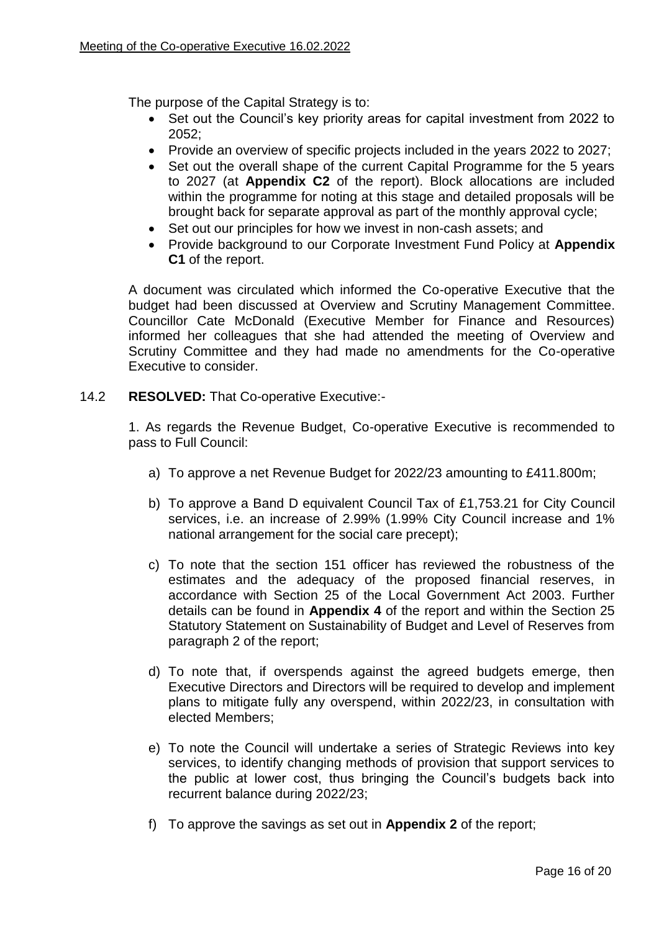The purpose of the Capital Strategy is to:

- Set out the Council's key priority areas for capital investment from 2022 to 2052;
- Provide an overview of specific projects included in the years 2022 to 2027;
- Set out the overall shape of the current Capital Programme for the 5 years to 2027 (at **Appendix C2** of the report). Block allocations are included within the programme for noting at this stage and detailed proposals will be brought back for separate approval as part of the monthly approval cycle;
- Set out our principles for how we invest in non-cash assets; and
- Provide background to our Corporate Investment Fund Policy at **Appendix C1** of the report.

A document was circulated which informed the Co-operative Executive that the budget had been discussed at Overview and Scrutiny Management Committee. Councillor Cate McDonald (Executive Member for Finance and Resources) informed her colleagues that she had attended the meeting of Overview and Scrutiny Committee and they had made no amendments for the Co-operative Executive to consider.

### 14.2 **RESOLVED:** That Co-operative Executive:-

1. As regards the Revenue Budget, Co-operative Executive is recommended to pass to Full Council:

- a) To approve a net Revenue Budget for 2022/23 amounting to £411.800m;
- b) To approve a Band D equivalent Council Tax of £1,753.21 for City Council services, i.e. an increase of 2.99% (1.99% City Council increase and 1% national arrangement for the social care precept);
- c) To note that the section 151 officer has reviewed the robustness of the estimates and the adequacy of the proposed financial reserves, in accordance with Section 25 of the Local Government Act 2003. Further details can be found in **Appendix 4** of the report and within the Section 25 Statutory Statement on Sustainability of Budget and Level of Reserves from paragraph 2 of the report;
- d) To note that, if overspends against the agreed budgets emerge, then Executive Directors and Directors will be required to develop and implement plans to mitigate fully any overspend, within 2022/23, in consultation with elected Members;
- e) To note the Council will undertake a series of Strategic Reviews into key services, to identify changing methods of provision that support services to the public at lower cost, thus bringing the Council's budgets back into recurrent balance during 2022/23;
- f) To approve the savings as set out in **Appendix 2** of the report;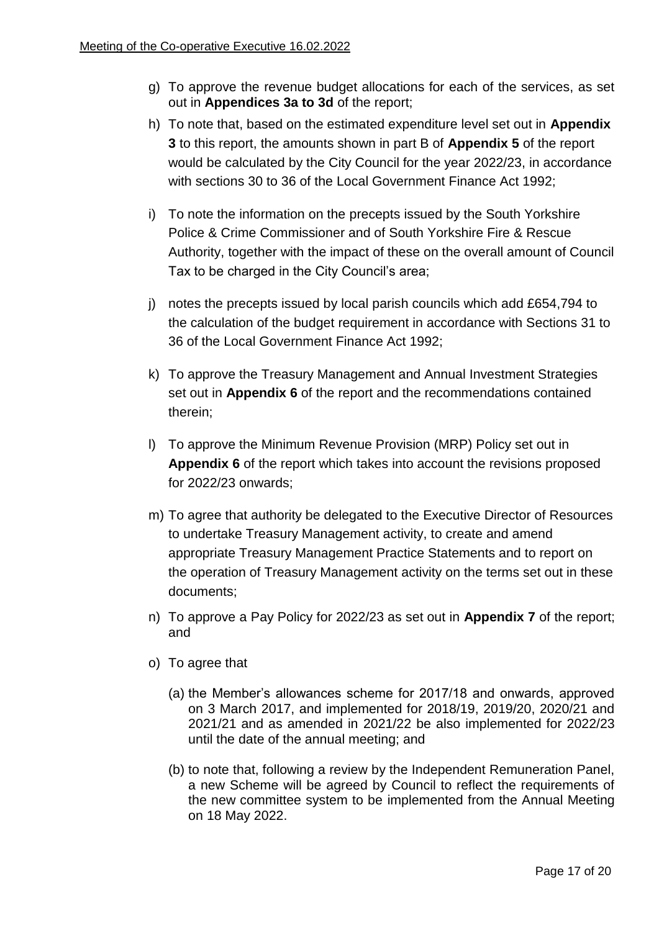- g) To approve the revenue budget allocations for each of the services, as set out in **Appendices 3a to 3d** of the report;
- h) To note that, based on the estimated expenditure level set out in **Appendix 3** to this report, the amounts shown in part B of **Appendix 5** of the report would be calculated by the City Council for the year 2022/23, in accordance with sections 30 to 36 of the Local Government Finance Act 1992;
- i) To note the information on the precepts issued by the South Yorkshire Police & Crime Commissioner and of South Yorkshire Fire & Rescue Authority, together with the impact of these on the overall amount of Council Tax to be charged in the City Council's area;
- j) notes the precepts issued by local parish councils which add £654,794 to the calculation of the budget requirement in accordance with Sections 31 to 36 of the Local Government Finance Act 1992;
- k) To approve the Treasury Management and Annual Investment Strategies set out in **Appendix 6** of the report and the recommendations contained therein;
- l) To approve the Minimum Revenue Provision (MRP) Policy set out in **Appendix 6** of the report which takes into account the revisions proposed for 2022/23 onwards;
- m) To agree that authority be delegated to the Executive Director of Resources to undertake Treasury Management activity, to create and amend appropriate Treasury Management Practice Statements and to report on the operation of Treasury Management activity on the terms set out in these documents;
- n) To approve a Pay Policy for 2022/23 as set out in **Appendix 7** of the report; and
- o) To agree that
	- (a) the Member's allowances scheme for 2017/18 and onwards, approved on 3 March 2017, and implemented for 2018/19, 2019/20, 2020/21 and 2021/21 and as amended in 2021/22 be also implemented for 2022/23 until the date of the annual meeting; and
	- (b) to note that, following a review by the Independent Remuneration Panel, a new Scheme will be agreed by Council to reflect the requirements of the new committee system to be implemented from the Annual Meeting on 18 May 2022.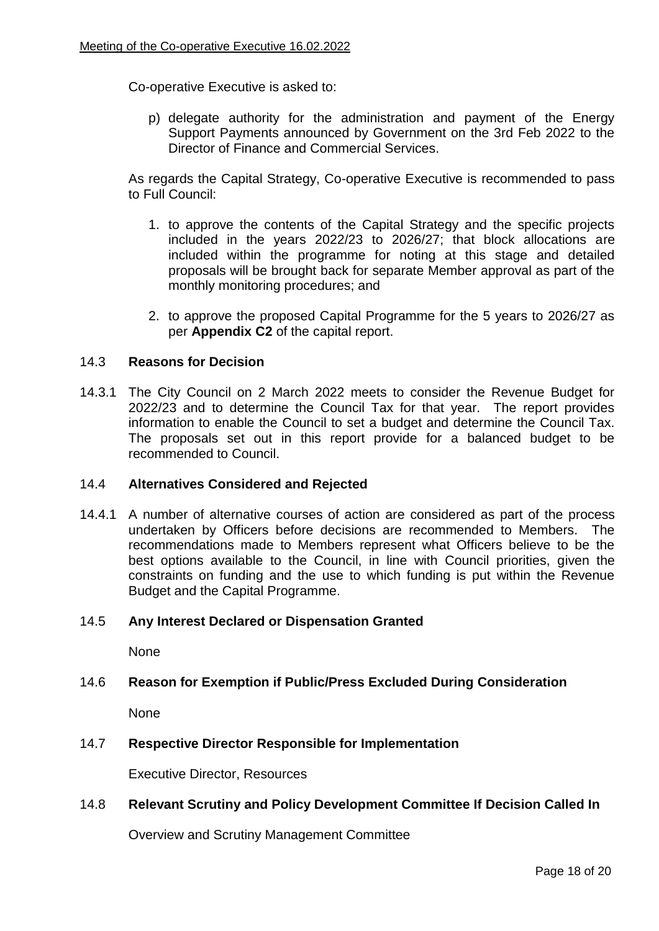Co-operative Executive is asked to:

p) delegate authority for the administration and payment of the Energy Support Payments announced by Government on the 3rd Feb 2022 to the Director of Finance and Commercial Services.

As regards the Capital Strategy, Co-operative Executive is recommended to pass to Full Council:

- 1. to approve the contents of the Capital Strategy and the specific projects included in the years 2022/23 to 2026/27; that block allocations are included within the programme for noting at this stage and detailed proposals will be brought back for separate Member approval as part of the monthly monitoring procedures; and
- 2. to approve the proposed Capital Programme for the 5 years to 2026/27 as per **Appendix C2** of the capital report.

# 14.3 **Reasons for Decision**

14.3.1 The City Council on 2 March 2022 meets to consider the Revenue Budget for 2022/23 and to determine the Council Tax for that year. The report provides information to enable the Council to set a budget and determine the Council Tax. The proposals set out in this report provide for a balanced budget to be recommended to Council.

### 14.4 **Alternatives Considered and Rejected**

14.4.1 A number of alternative courses of action are considered as part of the process undertaken by Officers before decisions are recommended to Members. The recommendations made to Members represent what Officers believe to be the best options available to the Council, in line with Council priorities, given the constraints on funding and the use to which funding is put within the Revenue Budget and the Capital Programme.

### 14.5 **Any Interest Declared or Dispensation Granted**

None

# 14.6 **Reason for Exemption if Public/Press Excluded During Consideration**

None

### 14.7 **Respective Director Responsible for Implementation**

Executive Director, Resources

# 14.8 **Relevant Scrutiny and Policy Development Committee If Decision Called In**

Overview and Scrutiny Management Committee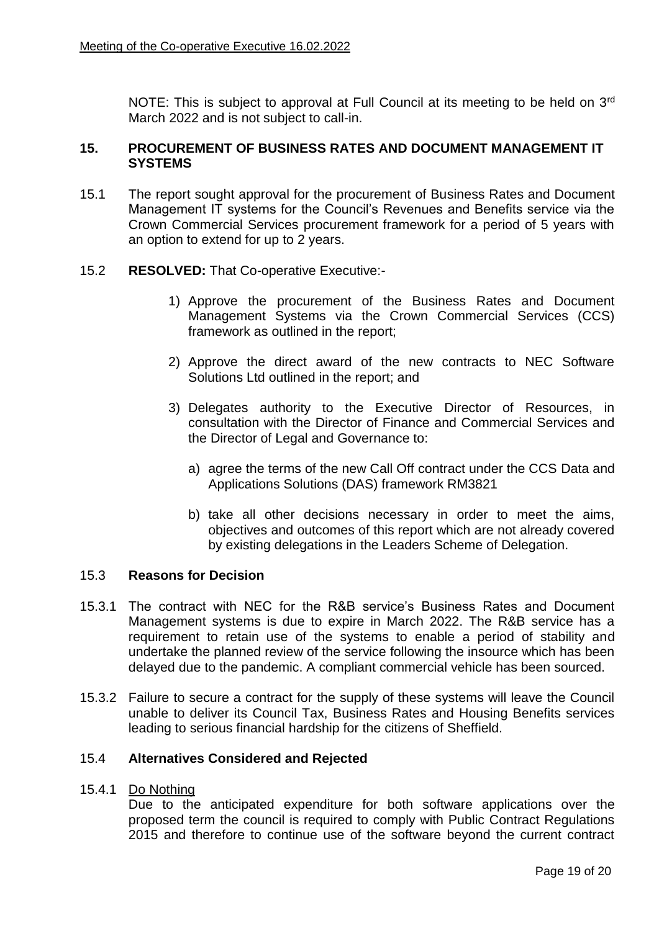NOTE: This is subject to approval at Full Council at its meeting to be held on 3<sup>rd</sup> March 2022 and is not subject to call-in.

### **15. PROCUREMENT OF BUSINESS RATES AND DOCUMENT MANAGEMENT IT SYSTEMS**

15.1 The report sought approval for the procurement of Business Rates and Document Management IT systems for the Council's Revenues and Benefits service via the Crown Commercial Services procurement framework for a period of 5 years with an option to extend for up to 2 years.

### 15.2 **RESOLVED:** That Co-operative Executive:-

- 1) Approve the procurement of the Business Rates and Document Management Systems via the Crown Commercial Services (CCS) framework as outlined in the report;
- 2) Approve the direct award of the new contracts to NEC Software Solutions Ltd outlined in the report; and
- 3) Delegates authority to the Executive Director of Resources, in consultation with the Director of Finance and Commercial Services and the Director of Legal and Governance to:
	- a) agree the terms of the new Call Off contract under the CCS Data and Applications Solutions (DAS) framework RM3821
	- b) take all other decisions necessary in order to meet the aims, objectives and outcomes of this report which are not already covered by existing delegations in the Leaders Scheme of Delegation.

# 15.3 **Reasons for Decision**

- 15.3.1 The contract with NEC for the R&B service's Business Rates and Document Management systems is due to expire in March 2022. The R&B service has a requirement to retain use of the systems to enable a period of stability and undertake the planned review of the service following the insource which has been delayed due to the pandemic. A compliant commercial vehicle has been sourced.
- 15.3.2 Failure to secure a contract for the supply of these systems will leave the Council unable to deliver its Council Tax, Business Rates and Housing Benefits services leading to serious financial hardship for the citizens of Sheffield.

### 15.4 **Alternatives Considered and Rejected**

### 15.4.1 Do Nothing

Due to the anticipated expenditure for both software applications over the proposed term the council is required to comply with Public Contract Regulations 2015 and therefore to continue use of the software beyond the current contract